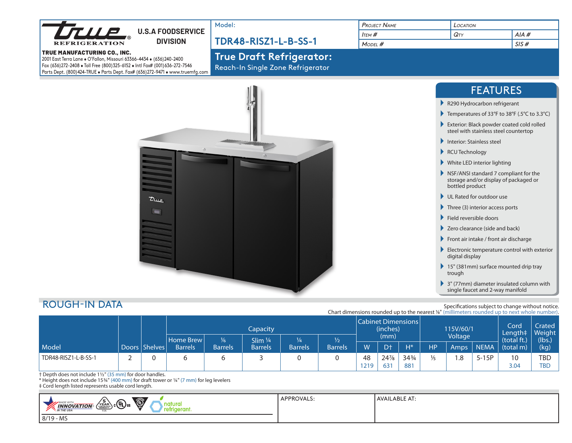|                                                                                                                                                                                                                                                                          | Model:                                                               | <b>PROJECT NAME</b>           | LOCATION                                                                                          |                                                                    |  |  |
|--------------------------------------------------------------------------------------------------------------------------------------------------------------------------------------------------------------------------------------------------------------------------|----------------------------------------------------------------------|-------------------------------|---------------------------------------------------------------------------------------------------|--------------------------------------------------------------------|--|--|
| <b>TILE</b><br><b>U.S.A FOODSERVICE</b>                                                                                                                                                                                                                                  |                                                                      | $I$ tem $#$                   | QTY                                                                                               | $AIA$ #                                                            |  |  |
| <b>DIVISION</b><br><b>RIGERATION</b>                                                                                                                                                                                                                                     | <b>TDR48-RISZ1-L-B-SS-1</b>                                          | MODEL #                       |                                                                                                   | SIS#                                                               |  |  |
| <b>TRUE MANUFACTURING CO., INC.</b><br>2001 East Terra Lane . O'Fallon, Missouri 63366-4434 . (636)240-2400<br>Fax (636)272-2408 . Toll Free (800)325-6152 . Intl Fax# (001)636-272-7546<br>Parts Dept. (800)424-TRUE . Parts Dept. Fax# (636)272-9471 . www.truemfg.com | <b>True Draft Refrigerator:</b><br>Reach-In Single Zone Refrigerator |                               |                                                                                                   |                                                                    |  |  |
|                                                                                                                                                                                                                                                                          |                                                                      |                               |                                                                                                   | <b>FEATURES</b>                                                    |  |  |
|                                                                                                                                                                                                                                                                          |                                                                      |                               | R290 Hydrocarbon refrigerant                                                                      |                                                                    |  |  |
|                                                                                                                                                                                                                                                                          |                                                                      |                               |                                                                                                   | Temperatures of 33°F to 38°F (.5°C to 3.3°C)                       |  |  |
|                                                                                                                                                                                                                                                                          |                                                                      |                               | Exterior: Black powder coated cold rolled<br>steel with stainless steel countertop                |                                                                    |  |  |
|                                                                                                                                                                                                                                                                          |                                                                      |                               | Interior: Stainless steel                                                                         |                                                                    |  |  |
|                                                                                                                                                                                                                                                                          |                                                                      | RCU Technology                |                                                                                                   |                                                                    |  |  |
|                                                                                                                                                                                                                                                                          |                                                                      | ▶ White LED interior lighting |                                                                                                   |                                                                    |  |  |
|                                                                                                                                                                                                                                                                          |                                                                      |                               | NSF/ANSI standard 7 compliant for the<br>storage and/or display of packaged or<br>bottled product |                                                                    |  |  |
| True                                                                                                                                                                                                                                                                     |                                                                      |                               | UL Rated for outdoor use                                                                          |                                                                    |  |  |
| <b>T</b>                                                                                                                                                                                                                                                                 |                                                                      |                               | $\blacktriangleright$ Three (3) interior access ports                                             |                                                                    |  |  |
|                                                                                                                                                                                                                                                                          |                                                                      |                               | Field reversible doors                                                                            |                                                                    |  |  |
|                                                                                                                                                                                                                                                                          |                                                                      |                               | Zero clearance (side and back)                                                                    |                                                                    |  |  |
|                                                                                                                                                                                                                                                                          |                                                                      |                               | Front air intake / front air discharge                                                            |                                                                    |  |  |
|                                                                                                                                                                                                                                                                          |                                                                      |                               | digital display                                                                                   | $\blacktriangleright$ Electronic temperature control with exterior |  |  |
|                                                                                                                                                                                                                                                                          |                                                                      |                               | 15" (381mm) surface mounted drip tray<br>trough                                                   |                                                                    |  |  |
|                                                                                                                                                                                                                                                                          |                                                                      |                               | single faucet and 2-way manifold                                                                  | 3" (77mm) diameter insulated column with                           |  |  |

## ROUGH-IN DATA

Specifications subject to change without notice.

|                      |  |                 |                |                |                      |                | Chart dimensions rounded up to the nearest 1/8" (millimeters rounded up to next whole number). |      |                |                 |               |                          |             |             |            |
|----------------------|--|-----------------|----------------|----------------|----------------------|----------------|------------------------------------------------------------------------------------------------|------|----------------|-----------------|---------------|--------------------------|-------------|-------------|------------|
|                      |  |                 | Capacity       |                |                      |                | <b>Cabinet Dimensions</b><br>(inches)                                                          |      |                | 115V/60/1       |               | Cord<br>Length‡   Weight | Crated      |             |            |
|                      |  |                 | Home Brew      | $\frac{1}{6}$  | Slim $\frac{1}{4}$ ' | 1⁄4            |                                                                                                | (mm) |                | Voltage         |               |                          | (total ft.) | (lbs.)      |            |
| Model                |  | Doors   Shelves | <b>Barrels</b> | <b>Barrels</b> | <b>Barrels</b>       | <b>Barrels</b> | <b>Barrels</b>                                                                                 | W    | D <sup>+</sup> | $H^*$           | <b>HP</b>     | Amps                     | <b>NEMA</b> | $(total$ m) | (kg)       |
| TDR48-RISZ1-L-B-SS-1 |  |                 |                |                |                      |                |                                                                                                | 48   | 24%            | $34\frac{3}{4}$ | $\frac{1}{5}$ | $\cdot$ .8               | $5-15P$     | 10          | <b>TBD</b> |
|                      |  |                 |                |                |                      |                |                                                                                                | 1219 | 631            | 881             |               |                          |             | 3.04        | <b>TBD</b> |

† Depth does not include 1½" (35 mm) for door handles.<br>\* Height does not include 15¾" (400 mm) for draft tower or ¼" (7 mm) for leg levelers<br>‡ Cord length listed represents usable cord length.

| $\setminus$ c $(\overline{\Psi_{\rm L}})$ us<br>$\circledcirc$<br>$\sim$<br>atural | <b>'PPROVAL.</b> | .ABLE AT:<br><b>AVAI</b> |
|------------------------------------------------------------------------------------|------------------|--------------------------|
| YEAR/<br><b>INOVATION</b><br><b>NEW</b><br>WARRANT<br><b>'N THE USA</b><br>um.     |                  |                          |
| - MS<br>8/19                                                                       |                  |                          |